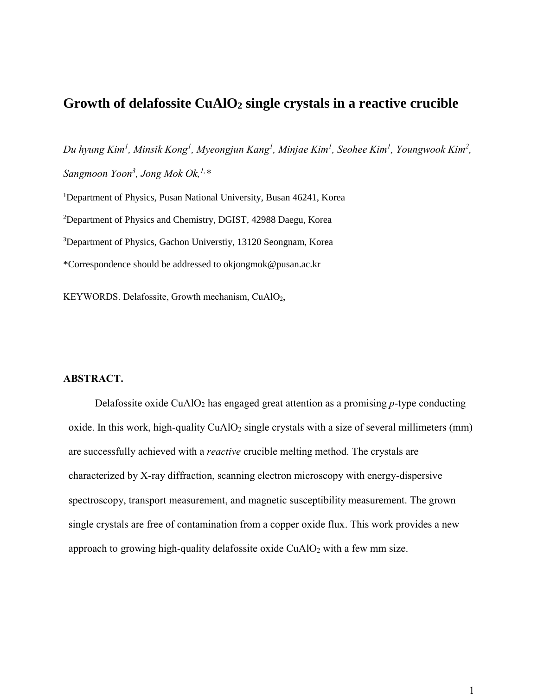# **Growth of delafossite CuAlO<sup>2</sup> single crystals in a reactive crucible**

*Du hyung Kim<sup>1</sup> , Minsik Kong<sup>1</sup> , Myeongjun Kang<sup>1</sup> , Minjae Kim<sup>1</sup> , Seohee Kim<sup>1</sup> , Youngwook Kim<sup>2</sup> , Sangmoon Yoon<sup>3</sup> , Jong Mok Ok,1,\**

Department of Physics, Pusan National University, Busan 46241, Korea Department of Physics and Chemistry, DGIST, 42988 Daegu, Korea Department of Physics, Gachon Universtiy, 13120 Seongnam, Korea \*Correspondence should be addressed to okjongmok@pusan.ac.kr

KEYWORDS. Delafossite, Growth mechanism, CuAlO2,

# **ABSTRACT.**

Delafossite oxide CuAlO<sub>2</sub> has engaged great attention as a promising *p*-type conducting oxide. In this work, high-quality  $CuAlO<sub>2</sub>$  single crystals with a size of several millimeters (mm) are successfully achieved with a *reactive* crucible melting method. The crystals are characterized by X-ray diffraction, scanning electron microscopy with energy-dispersive spectroscopy, transport measurement, and magnetic susceptibility measurement. The grown single crystals are free of contamination from a copper oxide flux. This work provides a new approach to growing high-quality delafossite oxide  $CuAlO<sub>2</sub>$  with a few mm size.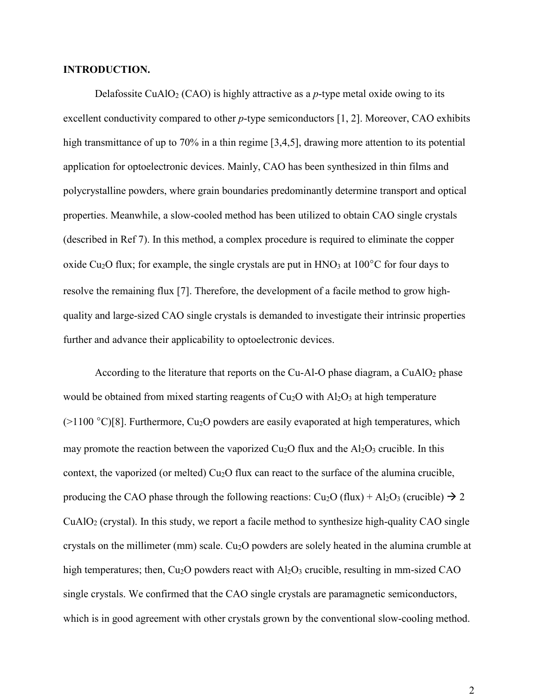## **INTRODUCTION.**

Delafossite CuAlO<sub>2</sub> (CAO) is highly attractive as a *p*-type metal oxide owing to its excellent conductivity compared to other *p*-type semiconductors [1, 2]. Moreover, CAO exhibits high transmittance of up to 70% in a thin regime [3,4,5], drawing more attention to its potential application for optoelectronic devices. Mainly, CAO has been synthesized in thin films and polycrystalline powders, where grain boundaries predominantly determine transport and optical properties. Meanwhile, a slow-cooled method has been utilized to obtain CAO single crystals (described in Ref 7). In this method, a complex procedure is required to eliminate the copper oxide Cu<sub>2</sub>O flux; for example, the single crystals are put in  $HNO<sub>3</sub>$  at  $100^{\circ}$ C for four days to resolve the remaining flux [7]. Therefore, the development of a facile method to grow highquality and large-sized CAO single crystals is demanded to investigate their intrinsic properties further and advance their applicability to optoelectronic devices.

According to the literature that reports on the Cu-Al-O phase diagram, a CuAlO<sub>2</sub> phase would be obtained from mixed starting reagents of  $Cu<sub>2</sub>O$  with  $Al<sub>2</sub>O<sub>3</sub>$  at high temperature  $(>1100 \degree C)[8]$ . Furthermore, Cu<sub>2</sub>O powders are easily evaporated at high temperatures, which may promote the reaction between the vaporized  $Cu<sub>2</sub>O$  flux and the  $Al<sub>2</sub>O<sub>3</sub>$  crucible. In this context, the vaporized (or melted)  $Cu<sub>2</sub>O$  flux can react to the surface of the alumina crucible, producing the CAO phase through the following reactions:  $Cu<sub>2</sub>O$  (flux) + Al<sub>2</sub>O<sub>3</sub> (crucible)  $\rightarrow$  2 CuAlO<sup>2</sup> (crystal). In this study, we report a facile method to synthesize high-quality CAO single crystals on the millimeter (mm) scale. Cu<sub>2</sub>O powders are solely heated in the alumina crumble at high temperatures; then,  $Cu<sub>2</sub>O$  powders react with  $Al<sub>2</sub>O<sub>3</sub>$  crucible, resulting in mm-sized CAO single crystals. We confirmed that the CAO single crystals are paramagnetic semiconductors, which is in good agreement with other crystals grown by the conventional slow-cooling method.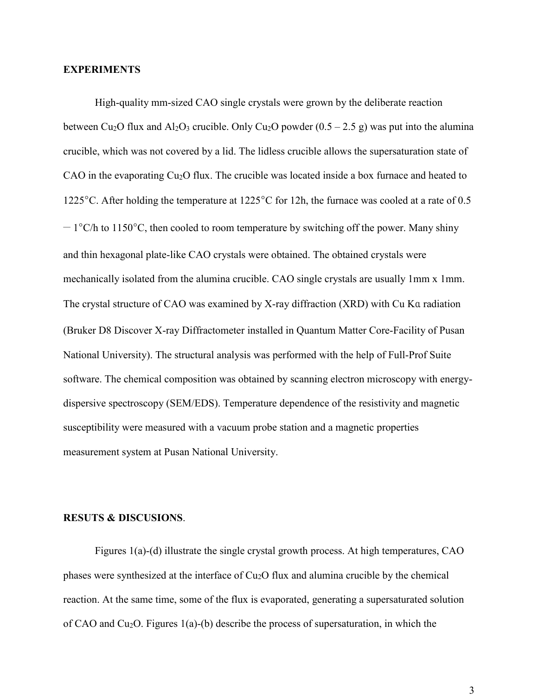### **EXPERIMENTS**

High-quality mm-sized CAO single crystals were grown by the deliberate reaction between Cu<sub>2</sub>O flux and Al<sub>2</sub>O<sub>3</sub> crucible. Only Cu<sub>2</sub>O powder  $(0.5 - 2.5$  g) was put into the alumina crucible, which was not covered by a lid. The lidless crucible allows the supersaturation state of CAO in the evaporating Cu2O flux. The crucible was located inside a box furnace and heated to 1225°C. After holding the temperature at 1225°C for 12h, the furnace was cooled at a rate of 0.5  $-1^{\circ}$ C/h to 1150<sup>o</sup>C, then cooled to room temperature by switching off the power. Many shiny and thin hexagonal plate-like CAO crystals were obtained. The obtained crystals were mechanically isolated from the alumina crucible. CAO single crystals are usually 1mm x 1mm. The crystal structure of CAO was examined by X-ray diffraction (XRD) with Cu Kα radiation (Bruker D8 Discover X-ray Diffractometer installed in Quantum Matter Core-Facility of Pusan National University). The structural analysis was performed with the help of Full-Prof Suite software. The chemical composition was obtained by scanning electron microscopy with energydispersive spectroscopy (SEM/EDS). Temperature dependence of the resistivity and magnetic susceptibility were measured with a vacuum probe station and a magnetic properties measurement system at Pusan National University.

#### **RESUTS & DISCUSIONS**.

Figures 1(a)-(d) illustrate the single crystal growth process. At high temperatures, CAO phases were synthesized at the interface of Cu2O flux and alumina crucible by the chemical reaction. At the same time, some of the flux is evaporated, generating a supersaturated solution of CAO and Cu<sub>2</sub>O. Figures 1(a)-(b) describe the process of supersaturation, in which the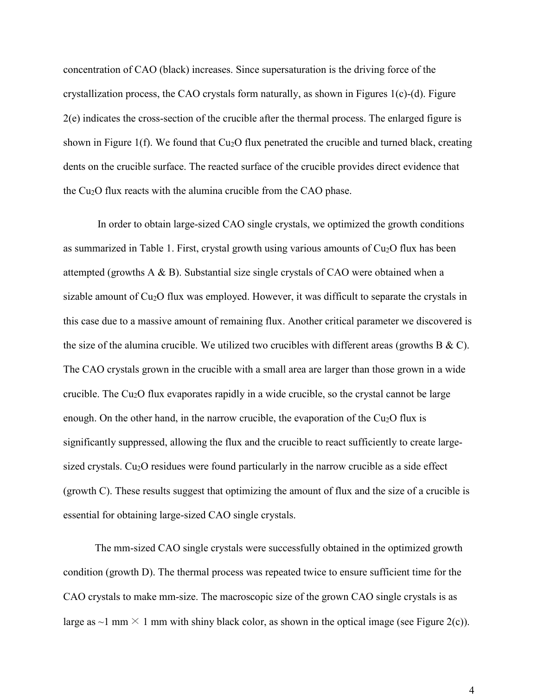concentration of CAO (black) increases. Since supersaturation is the driving force of the crystallization process, the CAO crystals form naturally, as shown in Figures 1(c)-(d). Figure 2(e) indicates the cross-section of the crucible after the thermal process. The enlarged figure is shown in Figure 1(f). We found that  $Cu<sub>2</sub>O$  flux penetrated the crucible and turned black, creating dents on the crucible surface. The reacted surface of the crucible provides direct evidence that the Cu2O flux reacts with the alumina crucible from the CAO phase.

In order to obtain large-sized CAO single crystals, we optimized the growth conditions as summarized in Table 1. First, crystal growth using various amounts of Cu<sub>2</sub>O flux has been attempted (growths  $A \& B$ ). Substantial size single crystals of CAO were obtained when a sizable amount of Cu<sub>2</sub>O flux was employed. However, it was difficult to separate the crystals in this case due to a massive amount of remaining flux. Another critical parameter we discovered is the size of the alumina crucible. We utilized two crucibles with different areas (growths B  $\&$  C). The CAO crystals grown in the crucible with a small area are larger than those grown in a wide crucible. The  $Cu<sub>2</sub>O$  flux evaporates rapidly in a wide crucible, so the crystal cannot be large enough. On the other hand, in the narrow crucible, the evaporation of the  $Cu<sub>2</sub>O$  flux is significantly suppressed, allowing the flux and the crucible to react sufficiently to create largesized crystals.  $Cu<sub>2</sub>O$  residues were found particularly in the narrow crucible as a side effect (growth C). These results suggest that optimizing the amount of flux and the size of a crucible is essential for obtaining large-sized CAO single crystals.

The mm-sized CAO single crystals were successfully obtained in the optimized growth condition (growth D). The thermal process was repeated twice to ensure sufficient time for the CAO crystals to make mm-size. The macroscopic size of the grown CAO single crystals is as large as  $\sim$ 1 mm  $\times$  1 mm with shiny black color, as shown in the optical image (see Figure 2(c)).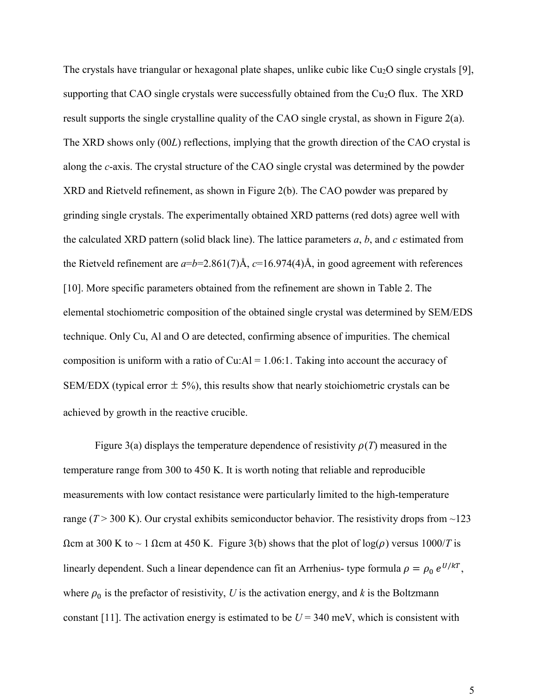The crystals have triangular or hexagonal plate shapes, unlike cubic like Cu<sub>2</sub>O single crystals [9], supporting that CAO single crystals were successfully obtained from the  $Cu<sub>2</sub>O$  flux. The XRD result supports the single crystalline quality of the CAO single crystal, as shown in Figure  $2(a)$ . The XRD shows only (00*L*) reflections, implying that the growth direction of the CAO crystal is along the *c*-axis. The crystal structure of the CAO single crystal was determined by the powder XRD and Rietveld refinement, as shown in Figure 2(b). The CAO powder was prepared by grinding single crystals. The experimentally obtained XRD patterns (red dots) agree well with the calculated XRD pattern (solid black line). The lattice parameters *a*, *b*, and *c* estimated from the Rietveld refinement are  $a=b=2.861(7)$ Å,  $c=16.974(4)$ Å, in good agreement with references [10]. More specific parameters obtained from the refinement are shown in Table 2. The elemental stochiometric composition of the obtained single crystal was determined by SEM/EDS technique. Only Cu, Al and O are detected, confirming absence of impurities. The chemical composition is uniform with a ratio of Cu: $AI = 1.06:1$ . Taking into account the accuracy of SEM/EDX (typical error  $\pm$  5%), this results show that nearly stoichiometric crystals can be achieved by growth in the reactive crucible.

Figure 3(a) displays the temperature dependence of resistivity  $\rho(T)$  measured in the temperature range from 300 to 450 K. It is worth noting that reliable and reproducible measurements with low contact resistance were particularly limited to the high-temperature range ( $T > 300$  K). Our crystal exhibits semiconductor behavior. The resistivity drops from  $\sim$ 123  $Ωcm$  at 300 K to ~ 1  $Ωcm$  at 450 K. Figure 3(b) shows that the plot of  $log(ρ)$  versus  $1000/T$  is linearly dependent. Such a linear dependence can fit an Arrhenius- type formula  $\rho = \rho_0 e^{U/kT}$ , where  $\rho_0$  is the prefactor of resistivity, *U* is the activation energy, and *k* is the Boltzmann constant [11]. The activation energy is estimated to be  $U = 340$  meV, which is consistent with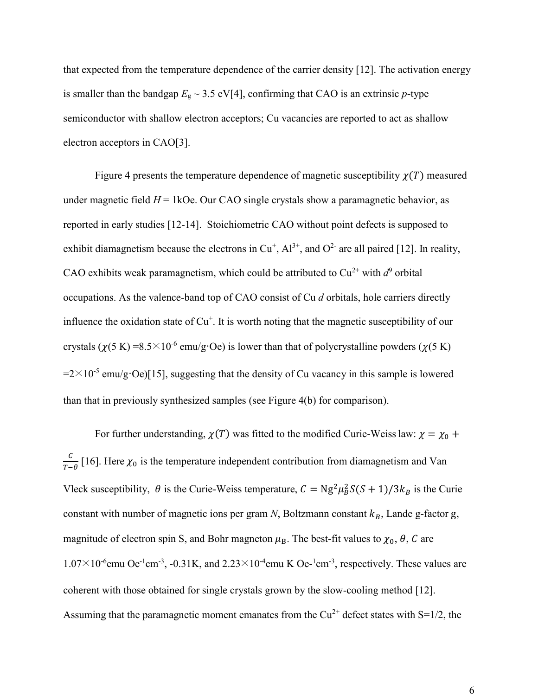that expected from the temperature dependence of the carrier density [12]. The activation energy is smaller than the bandgap  $E_g \sim 3.5 \text{ eV[4]}$ , confirming that CAO is an extrinsic *p*-type semiconductor with shallow electron acceptors; Cu vacancies are reported to act as shallow electron acceptors in CAO[3].

Figure 4 presents the temperature dependence of magnetic susceptibility  $\chi(T)$  measured under magnetic field  $H = 1$ kOe. Our CAO single crystals show a paramagnetic behavior, as reported in early studies [12-14]. Stoichiometric CAO without point defects is supposed to exhibit diamagnetism because the electrons in  $Cu^+$ ,  $Al^{3+}$ , and  $O^{2-}$  are all paired [12]. In reality, CAO exhibits weak paramagnetism, which could be attributed to  $Cu^{2+}$  with  $d^9$  orbital occupations. As the valence-band top of CAO consist of Cu *d* orbitals, hole carriers directly influence the oxidation state of  $Cu<sup>+</sup>$ . It is worth noting that the magnetic susceptibility of our crystals  $(\chi(5 \text{ K}) = 8.5 \times 10^{-6} \text{ emu/g} \cdot \text{Oe})$  is lower than that of polycrystalline powders  $(\chi(5 \text{ K}))$  $=2\times10^{-5}$  emu/g·Oe)[15], suggesting that the density of Cu vacancy in this sample is lowered than that in previously synthesized samples (see Figure 4(b) for comparison).

For further understanding,  $\chi(T)$  was fitted to the modified Curie-Weiss law:  $\chi = \chi_0 + \chi_1$  $\mathcal C$  $\frac{c}{T-\theta}$  [16]. Here  $\chi_0$  is the temperature independent contribution from diamagnetism and Van Vleck susceptibility,  $\theta$  is the Curie-Weiss temperature,  $C = Ng^2\mu_B^2S(S + 1)/3k_B$  is the Curie constant with number of magnetic ions per gram  $N$ , Boltzmann constant  $k_B$ , Lande g-factor g, magnitude of electron spin S, and Bohr magneton  $\mu_B$ . The best-fit values to  $\chi_0$ ,  $\theta$ , C are  $1.07 \times 10^{-6}$ emu Oe<sup>-1</sup>cm<sup>-3</sup>, -0.31K, and 2.23×10<sup>-4</sup>emu K Oe-<sup>1</sup>cm<sup>-3</sup>, respectively. These values are coherent with those obtained for single crystals grown by the slow-cooling method [12]. Assuming that the paramagnetic moment emanates from the  $Cu^{2+}$  defect states with S=1/2, the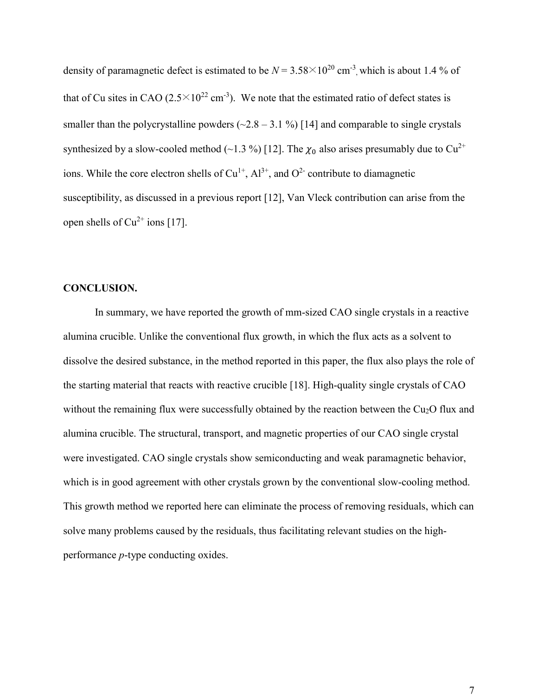density of paramagnetic defect is estimated to be  $N = 3.58 \times 10^{20}$  cm<sup>-3</sup>, which is about 1.4 % of that of Cu sites in CAO (2.5 $\times$ 10<sup>22</sup> cm<sup>-3</sup>). We note that the estimated ratio of defect states is smaller than the polycrystalline powders  $(\sim 2.8 - 3.1 \%)$  [14] and comparable to single crystals synthesized by a slow-cooled method (~1.3 %) [12]. The  $\chi_0$  also arises presumably due to Cu<sup>2+</sup> ions. While the core electron shells of  $Cu<sup>1+</sup>, Al<sup>3+</sup>,$  and  $O<sup>2-</sup>$  contribute to diamagnetic susceptibility, as discussed in a previous report [12], Van Vleck contribution can arise from the open shells of  $Cu^{2+}$  ions [17].

# **CONCLUSION.**

In summary, we have reported the growth of mm-sized CAO single crystals in a reactive alumina crucible. Unlike the conventional flux growth, in which the flux acts as a solvent to dissolve the desired substance, in the method reported in this paper, the flux also plays the role of the starting material that reacts with reactive crucible [18]. High-quality single crystals of CAO without the remaining flux were successfully obtained by the reaction between the Cu<sub>2</sub>O flux and alumina crucible. The structural, transport, and magnetic properties of our CAO single crystal were investigated. CAO single crystals show semiconducting and weak paramagnetic behavior, which is in good agreement with other crystals grown by the conventional slow-cooling method. This growth method we reported here can eliminate the process of removing residuals, which can solve many problems caused by the residuals, thus facilitating relevant studies on the highperformance *p*-type conducting oxides.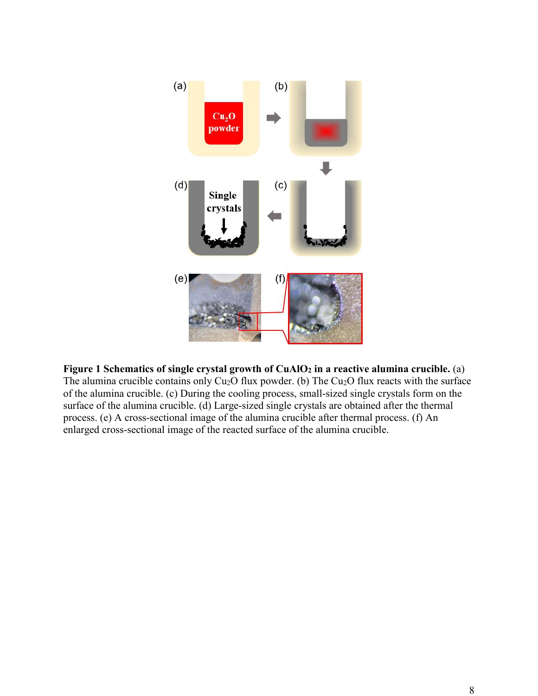

# **Figure 1 Schematics of single crystal growth of CuAlO<sup>2</sup> in a reactive alumina crucible.** (a)

The alumina crucible contains only  $Cu<sub>2</sub>O$  flux powder. (b) The Cu<sub>2</sub>O flux reacts with the surface of the alumina crucible. (c) During the cooling process, small-sized single crystals form on the surface of the alumina crucible. (d) Large-sized single crystals are obtained after the thermal process. (e) A cross-sectional image of the alumina crucible after thermal process. (f) An enlarged cross-sectional image of the reacted surface of the alumina crucible.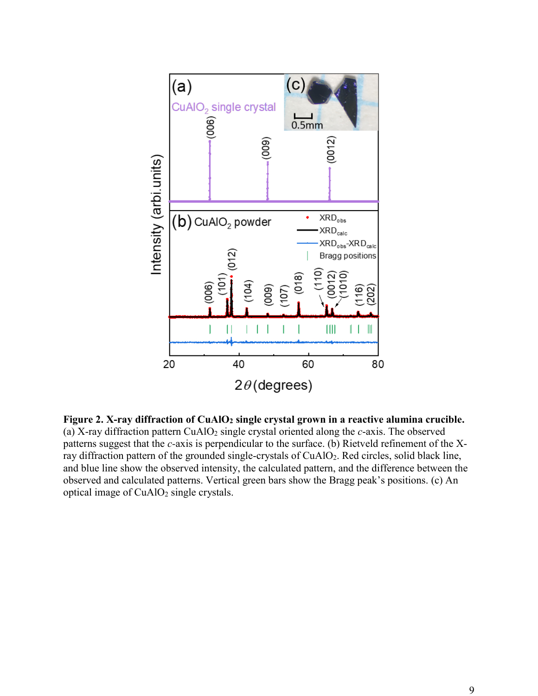

**Figure 2. X-ray diffraction of CuAlO<sup>2</sup> single crystal grown in a reactive alumina crucible.** (a) X-ray diffraction pattern CuAlO<sup>2</sup> single crystal oriented along the *c*-axis. The observed patterns suggest that the *c-*axis is perpendicular to the surface. (b) Rietveld refinement of the Xray diffraction pattern of the grounded single-crystals of CuAlO<sub>2</sub>. Red circles, solid black line, and blue line show the observed intensity, the calculated pattern, and the difference between the observed and calculated patterns. Vertical green bars show the Bragg peak's positions. (c) An optical image of  $CuAlO<sub>2</sub>$  single crystals.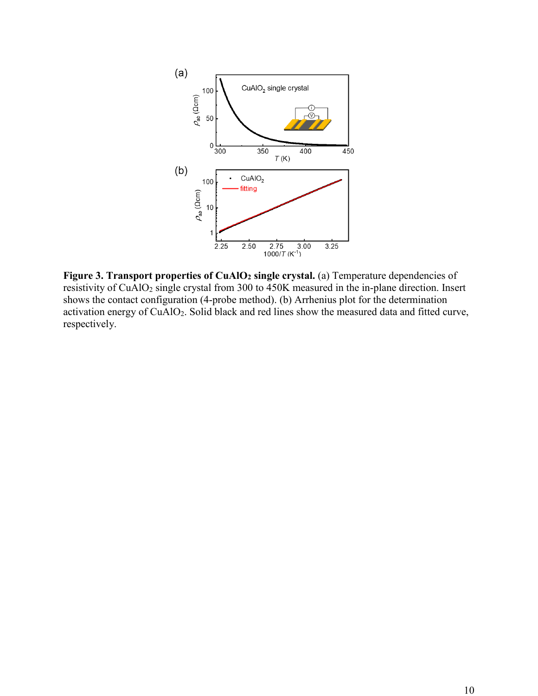

**Figure 3. Transport properties of CuAlO<sup>2</sup> single crystal.** (a) Temperature dependencies of resistivity of CuAlO<sub>2</sub> single crystal from 300 to 450K measured in the in-plane direction. Insert shows the contact configuration (4-probe method). (b) Arrhenius plot for the determination activation energy of CuAlO2. Solid black and red lines show the measured data and fitted curve, respectively.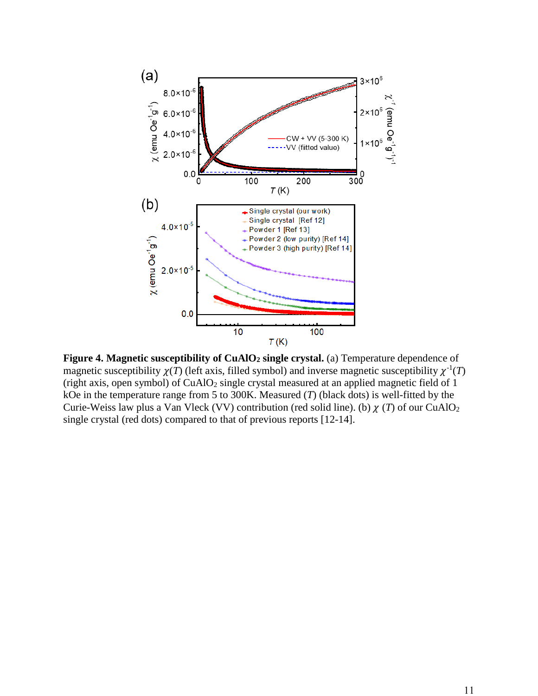

**Figure 4. Magnetic susceptibility of CuAlO<sup>2</sup> single crystal.** (a) Temperature dependence of magnetic susceptibility  $\chi(T)$  (left axis, filled symbol) and inverse magnetic susceptibility  $\chi^{-1}(T)$ (right axis, open symbol) of  $CuAlO<sub>2</sub>$  single crystal measured at an applied magnetic field of 1 kOe in the temperature range from 5 to 300K. Measured (*T*) (black dots) is well-fitted by the Curie-Weiss law plus a Van Vleck (VV) contribution (red solid line). (b)  $\chi(T)$  of our CuAlO<sub>2</sub> single crystal (red dots) compared to that of previous reports [12-14].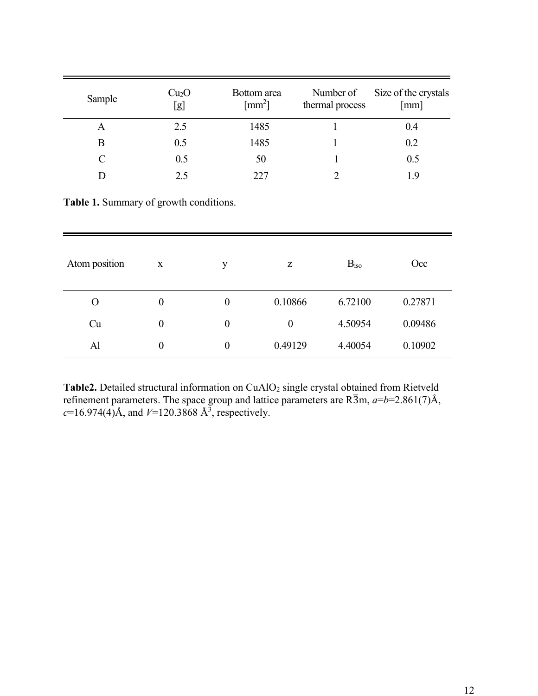| Sample | Cu <sub>2</sub> O<br>[g] | Bottom area<br>$\lceil$ mm <sup>2</sup> $\rceil$ | Number of<br>thermal process | Size of the crystals<br>[mm] |
|--------|--------------------------|--------------------------------------------------|------------------------------|------------------------------|
| A      | 2.5                      | 1485                                             |                              | 0.4                          |
| Β      | 0.5                      | 1485                                             |                              | 0.2                          |
|        | 0.5                      | 50                                               |                              | 0.5                          |
|        | 25                       | 227                                              |                              |                              |

**Table 1.** Summary of growth conditions.

| Atom position | X                | y                | Ζ        | B <sub>iso</sub> | Occ     |
|---------------|------------------|------------------|----------|------------------|---------|
| $\Omega$      | $\boldsymbol{0}$ | $\boldsymbol{0}$ | 0.10866  | 6.72100          | 0.27871 |
| Cu            | $\boldsymbol{0}$ | $\boldsymbol{0}$ | $\theta$ | 4.50954          | 0.09486 |
| Al            | $\boldsymbol{0}$ | $\overline{0}$   | 0.49129  | 4.40054          | 0.10902 |

Table2. Detailed structural information on CuAlO<sub>2</sub> single crystal obtained from Rietveld refinement parameters. The space group and lattice parameters are  $R\overline{3}m$ ,  $a=b=2.861(7)A$ ,  $c=16.974(4)$ Å, and  $V=120.3868$  Å<sup>3</sup>, respectively.